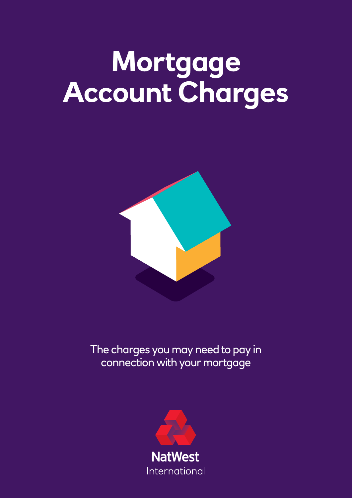## **Mortgage Account Charges**



The charges you may need to pay in connection with your mortgage

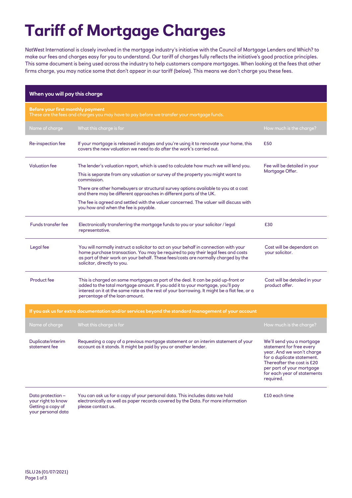## **Tariff of Mortgage Charges**

NatWest International is closely involved in the mortgage industry's initiative with the Council of Mortgage Lenders and Which? to make our fees and charges easy for you to understand. Our tariff of charges fully reflects the initiative's good practice principles. This same document is being used across the industry to help customers compare mortgages. When looking at the fees that other firms charge, you may notice some that don't appear in our tariff (below). This means we don't charge you these fees.

| When you will pay this charge                                                                                                   |                                                                                                                                                                                                                                                                                                      |                                                                                                                                                                                                                         |  |  |
|---------------------------------------------------------------------------------------------------------------------------------|------------------------------------------------------------------------------------------------------------------------------------------------------------------------------------------------------------------------------------------------------------------------------------------------------|-------------------------------------------------------------------------------------------------------------------------------------------------------------------------------------------------------------------------|--|--|
| Before your first monthly payment<br>These are the fees and charges you may have to pay before we transfer your mortgage funds. |                                                                                                                                                                                                                                                                                                      |                                                                                                                                                                                                                         |  |  |
| Name of charge                                                                                                                  | What this charge is for                                                                                                                                                                                                                                                                              | How much is the charge?                                                                                                                                                                                                 |  |  |
| Re-inspection fee                                                                                                               | If your mortgage is released in stages and you're using it to renovate your home, this<br>covers the new valuation we need to do after the work's carried out.                                                                                                                                       | £50                                                                                                                                                                                                                     |  |  |
| <b>Valuation fee</b>                                                                                                            | The lender's valuation report, which is used to calculate how much we will lend you.<br>This is separate from any valuation or survey of the property you might want to<br>commission.<br>There are other homebuyers or structural survey options available to you at a cost                         | Fee will be detailed in your<br>Mortgage Offer.                                                                                                                                                                         |  |  |
|                                                                                                                                 | and there may be different approaches in different parts of the UK.<br>The fee is agreed and settled with the valuer concerned. The valuer will discuss with<br>you how and when the fee is payable.                                                                                                 |                                                                                                                                                                                                                         |  |  |
| <b>Funds transfer fee</b>                                                                                                       | Electronically transferring the mortgage funds to you or your solicitor / legal<br>representative.                                                                                                                                                                                                   | £30                                                                                                                                                                                                                     |  |  |
| Legal fee                                                                                                                       | You will normally instruct a solicitor to act on your behalf in connection with your<br>home purchase transaction. You may be required to pay their legal fees and costs<br>as part of their work on your behalf. These fees/costs are normally charged by the<br>solicitor, directly to you.        | Cost will be dependant on<br>your solicitor.                                                                                                                                                                            |  |  |
| <b>Product fee</b>                                                                                                              | This is charged on some mortgages as part of the deal. It can be paid up-front or<br>added to the total mortgage amount. If you add it to your mortgage, you'll pay<br>interest on it at the same rate as the rest of your borrowing. It might be a flat fee, or a<br>percentage of the loan amount. | Cost will be detailed in your<br>product offer.                                                                                                                                                                         |  |  |
|                                                                                                                                 | If you ask us for extra documentation and/or services beyond the standard management of your account                                                                                                                                                                                                 |                                                                                                                                                                                                                         |  |  |
| Name of charge                                                                                                                  | What this charge is for                                                                                                                                                                                                                                                                              | How much is the charge?                                                                                                                                                                                                 |  |  |
| Duplicate/interim<br>statement fee                                                                                              | Requesting a copy of a previous mortgage statement or an interim statement of your<br>account as it stands. It might be paid by you or another lender.                                                                                                                                               | We'll send you a mortgage<br>statement for free every<br>year. And we won't charge<br>for a duplicate statement.<br>Thereafter the cost is £20<br>per part of your mortgage<br>for each year of statements<br>required. |  |  |
| Data protection -<br>your right to know<br>Getting a copy of                                                                    | You can ask us for a copy of your personal data. This includes data we hold<br>electronically as well as paper records covered by the Data. For more information<br>please contact us.                                                                                                               | £10 each time                                                                                                                                                                                                           |  |  |

Getting a copy of your personal data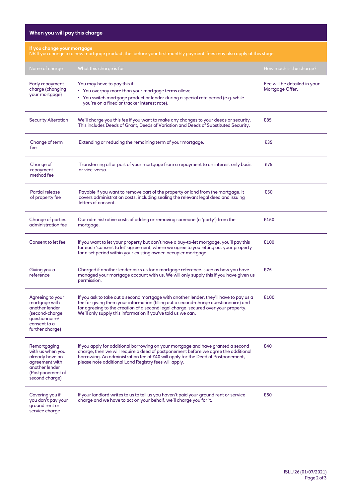| When you will pay this charge                                                                                                                         |                                                                                                                                                                                                                                                                                                                                      |                                                 |  |  |
|-------------------------------------------------------------------------------------------------------------------------------------------------------|--------------------------------------------------------------------------------------------------------------------------------------------------------------------------------------------------------------------------------------------------------------------------------------------------------------------------------------|-------------------------------------------------|--|--|
| If you change your mortgage<br>NB If you change to a new mortgage product, the 'before your first monthly payment' fees may also apply at this stage. |                                                                                                                                                                                                                                                                                                                                      |                                                 |  |  |
| Name of charge                                                                                                                                        | What this charge is for                                                                                                                                                                                                                                                                                                              | How much is the charge?                         |  |  |
| Early repayment<br>charge (changing<br>your mortgage)                                                                                                 | You may have to pay this if:<br>• You overpay more than your mortgage terms allow;<br>• You switch mortgage product or lender during a special rate period (e.g. while<br>you're on a fixed or tracker interest rate).                                                                                                               | Fee will be detailed in your<br>Mortgage Offer. |  |  |
| <b>Security Alteration</b>                                                                                                                            | We'll charge you this fee if you want to make any changes to your deeds or security.<br>This includes Deeds of Grant, Deeds of Variation and Deeds of Substituted Security.                                                                                                                                                          | £85                                             |  |  |
| Change of term<br>fee                                                                                                                                 | Extending or reducing the remaining term of your mortgage.                                                                                                                                                                                                                                                                           | £35                                             |  |  |
| Change of<br>repayment<br>method fee                                                                                                                  | Transferring all or part of your mortgage from a repayment to an interest only basis<br>or vice-versa.                                                                                                                                                                                                                               | £75                                             |  |  |
| Partial release<br>of property fee                                                                                                                    | Payable if you want to remove part of the property or land from the mortgage. It<br>covers administration costs, including sealing the relevant legal deed and issuing<br>letters of consent.                                                                                                                                        | £50                                             |  |  |
| Change of parties<br>administration fee                                                                                                               | Our administrative costs of adding or removing someone (a 'party') from the<br>mortgage.                                                                                                                                                                                                                                             | £150                                            |  |  |
| Consent to let fee                                                                                                                                    | If you want to let your property but don't have a buy-to-let mortgage, you'll pay this<br>for each 'consent to let' agreement, where we agree to you letting out your property<br>for a set period within your existing owner-occupier mortgage.                                                                                     | £100                                            |  |  |
| Giving you a<br>reference                                                                                                                             | Charged if another lender asks us for a mortgage reference, such as how you have<br>managed your mortgage account with us. We will only supply this if you have given us<br>permission.                                                                                                                                              | £75                                             |  |  |
| Agreeing to your<br>mortgage with<br>another lender<br>(second-charge<br>questionnaire/<br>consent to a<br>further charge)                            | If you ask to take out a second mortgage with another lender, they'll have to pay us a<br>fee for giving them your information (filling out a second-charge questionnaire) and<br>for agreeing to the creation of a second legal charge, secured over your property.<br>We'll only supply this information if you've told us we can. | £100                                            |  |  |
| Remortgaging<br>with us when you<br>already have an<br>agreement with<br>another lender<br>(Postponement of<br>second charge)                         | If you apply for additional borrowing on your mortgage and have granted a second<br>charge, then we will require a deed of postponement before we agree the additional<br>borrowing. An administration fee of £40 will apply for the Deed of Postponement,<br>please note additional Land Registry fees will apply.                  | £40                                             |  |  |
| Covering you if<br>you don't pay your<br>ground rent or<br>service charge                                                                             | If your landlord writes to us to tell us you haven't paid your ground rent or service<br>charge and we have to act on your behalf, we'll charge you for it.                                                                                                                                                                          | £50                                             |  |  |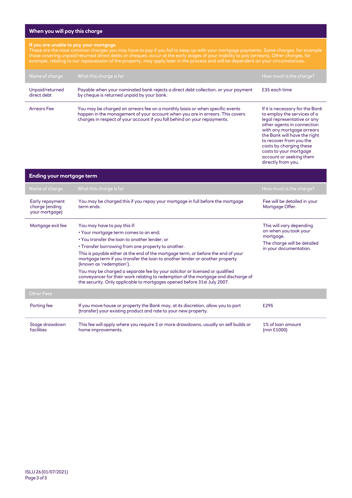## **When you will pay this charge**

## **If you are unable to pay your mortgage**

These are the most common charges you may have to pay if you fail to keep up with your mortgage payments. Some charges, for example those covering unpaid/returned direct debts or cheques, occur at the early stages of your inability to pay (arrears). Other charges, for example, relating to our repossession of the property, may apply later in the process and will be dependent on your circumstances.

| Name of charge                 | What this charge is for                                                                                                                                                                                                                    | How much is the charge?                                                                                                                                                                                                                                                  |
|--------------------------------|--------------------------------------------------------------------------------------------------------------------------------------------------------------------------------------------------------------------------------------------|--------------------------------------------------------------------------------------------------------------------------------------------------------------------------------------------------------------------------------------------------------------------------|
| Unpaid/returned<br>direct debt | Payable when your nominated bank rejects a direct debt collection, or your payment<br>by cheque is returned unpaid by your bank.                                                                                                           | £35 each time                                                                                                                                                                                                                                                            |
| <b>Arrears Fee</b>             | You may be charged an arrears fee on a monthly basis or when specific events<br>happen in the management of your account when you are in arrears. This covers<br>charges in respect of your account if you fall behind on your repayments. | If it is necessary for the Bank<br>to employ the services of a<br>legal representative or any<br>other agents in connection<br>with any mortgage arrears<br>the Bank will have the right<br>to recover from you the<br>costs by charging these<br>costs to your mortgage |

account or seeking them directly from you.

| Ending your mortgage term                           |                                                                                                                                                                                                                                                                                                                                                                                                                                                                                                                                                                                                                                 |                                                                                                                         |  |  |
|-----------------------------------------------------|---------------------------------------------------------------------------------------------------------------------------------------------------------------------------------------------------------------------------------------------------------------------------------------------------------------------------------------------------------------------------------------------------------------------------------------------------------------------------------------------------------------------------------------------------------------------------------------------------------------------------------|-------------------------------------------------------------------------------------------------------------------------|--|--|
| Name of charge                                      | What this charge is for                                                                                                                                                                                                                                                                                                                                                                                                                                                                                                                                                                                                         | How much is the charge?                                                                                                 |  |  |
| Early repayment<br>charge (ending<br>your mortgage) | You may be charged this if you repay your mortgage in full before the mortgage<br>term ends.                                                                                                                                                                                                                                                                                                                                                                                                                                                                                                                                    | Fee will be detailed in your<br>Mortgage Offer.                                                                         |  |  |
| Mortgage exit fee                                   | You may have to pay this if:<br>• Your mortgage term comes to an end;<br>. You transfer the loan to another lender: or<br>• Transfer borrowing from one property to another.<br>This is payable either at the end of the mortgage term, or before the end of your<br>mortgage term if you transfer the loan to another lender or another property<br>(known as 'redemption').<br>You may be charged a separate fee by your solicitor or licensed or qualified<br>conveyancer for their work relating to redemption of the mortgage and discharge of<br>the security. Only applicable to mortgages opened before 31st July 2007. | This will vary depending<br>on when you took your<br>mortgage.<br>The charge will be detailed<br>in your documentation. |  |  |
| <b>Other Fees</b>                                   |                                                                                                                                                                                                                                                                                                                                                                                                                                                                                                                                                                                                                                 |                                                                                                                         |  |  |
| Porting fee                                         | If you move house or property the Bank may, at its discretion, allow you to port<br>(transfer) your existing product and rate to your new property.                                                                                                                                                                                                                                                                                                                                                                                                                                                                             | £295                                                                                                                    |  |  |
| Stage drawdown<br>facilities                        | This fee will apply where you require 3 or more drawdowns, usually on self builds or<br>home improvements.                                                                                                                                                                                                                                                                                                                                                                                                                                                                                                                      | 1% of loan amount<br>(min £1000)                                                                                        |  |  |